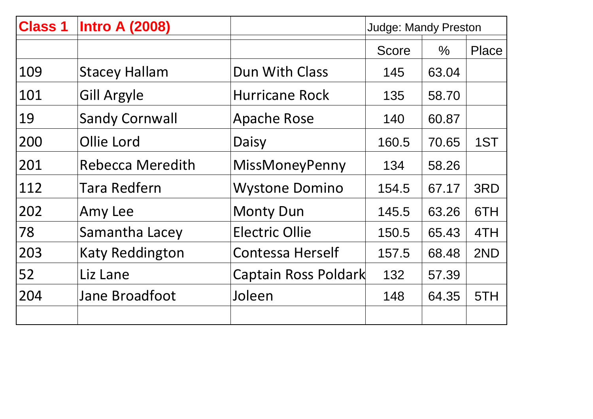| <b>Class 1</b> | <b>Intro A (2008)</b>   |                             | <b>Judge: Mandy Preston</b> |       |       |
|----------------|-------------------------|-----------------------------|-----------------------------|-------|-------|
|                |                         |                             | <b>Score</b>                | $\%$  | Place |
| 109            | <b>Stacey Hallam</b>    | Dun With Class              | 145                         | 63.04 |       |
| 101            | <b>Gill Argyle</b>      | <b>Hurricane Rock</b>       | 135                         | 58.70 |       |
| 19             | <b>Sandy Cornwall</b>   | <b>Apache Rose</b>          | 140                         | 60.87 |       |
| 200            | Ollie Lord              | Daisy                       | 160.5                       | 70.65 | 1ST   |
| 201            | <b>Rebecca Meredith</b> | MissMoneyPenny              | 134                         | 58.26 |       |
| 112            | <b>Tara Redfern</b>     | <b>Wystone Domino</b>       | 154.5                       | 67.17 | 3RD   |
| 202            | Amy Lee                 | <b>Monty Dun</b>            | 145.5                       | 63.26 | 6TH   |
| 178            | Samantha Lacey          | <b>Electric Ollie</b>       | 150.5                       | 65.43 | 4TH   |
| 203            | <b>Katy Reddington</b>  | <b>Contessa Herself</b>     | 157.5                       | 68.48 | 2ND   |
| 52             | Liz Lane                | <b>Captain Ross Poldark</b> | 132                         | 57.39 |       |
| 204            | <b>Jane Broadfoot</b>   | Joleen                      | 148                         | 64.35 | 5TH   |
|                |                         |                             |                             |       |       |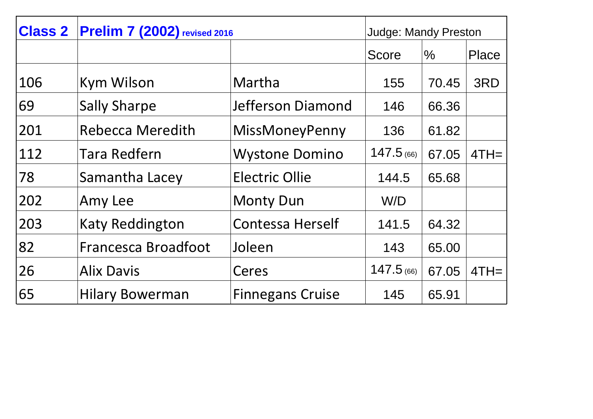| <b>Class 2</b> | <b>Prelim 7 (2002)</b> revised 2016 |                         |              | <b>Judge: Mandy Preston</b> |        |
|----------------|-------------------------------------|-------------------------|--------------|-----------------------------|--------|
|                |                                     |                         | Score        | $\frac{0}{0}$               | Place  |
| 106            | Kym Wilson                          | Martha                  | 155          | 70.45                       | 3RD    |
| 69             | <b>Sally Sharpe</b>                 | Jefferson Diamond       | 146          | 66.36                       |        |
| 201            | <b>Rebecca Meredith</b>             | MissMoneyPenny          | 136          | 61.82                       |        |
| 112            | <b>Tara Redfern</b>                 | <b>Wystone Domino</b>   | $147.5$ (66) | 67.05                       | $4TH=$ |
| 78             | Samantha Lacey                      | <b>Electric Ollie</b>   | 144.5        | 65.68                       |        |
| 202            | Amy Lee                             | <b>Monty Dun</b>        | W/D          |                             |        |
| 203            | <b>Katy Reddington</b>              | <b>Contessa Herself</b> | 141.5        | 64.32                       |        |
| 82             | <b>Francesca Broadfoot</b>          | Joleen                  | 143          | 65.00                       |        |
| 26             | <b>Alix Davis</b>                   | Ceres                   | $147.5$ (66) | 67.05                       | $4TH=$ |
| 65             | <b>Hilary Bowerman</b>              | <b>Finnegans Cruise</b> | 145          | 65.91                       |        |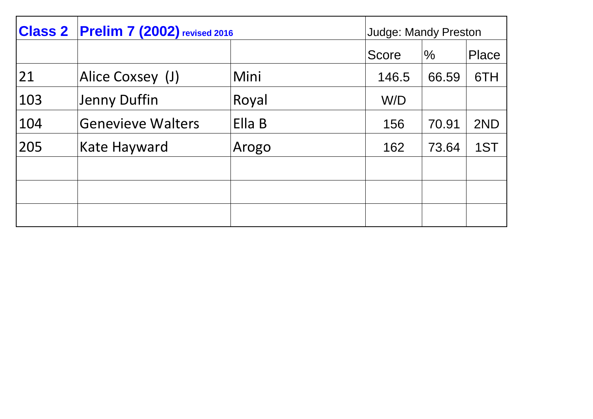|     | <b>Class 2 Prelim 7 (2002)</b> revised 2016 |        | <b>Judge: Mandy Preston</b> |               |       |
|-----|---------------------------------------------|--------|-----------------------------|---------------|-------|
|     |                                             |        | <b>Score</b>                | $\frac{0}{0}$ | Place |
| 21  | Alice Coxsey (J)                            | Mini   | 146.5                       | 66.59         | 6TH   |
| 103 | Jenny Duffin                                | Royal  | W/D                         |               |       |
| 104 | <b>Genevieve Walters</b>                    | Ella B | 156                         | 70.91         | 2ND   |
| 205 | Kate Hayward                                | Arogo  | 162                         | 73.64         | 1ST   |
|     |                                             |        |                             |               |       |
|     |                                             |        |                             |               |       |
|     |                                             |        |                             |               |       |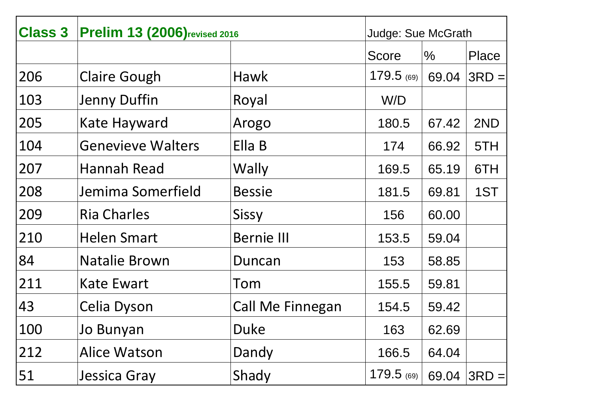| <b>Class 3</b> | <b>Prelim 13 (2006)</b> revised 2016 |                         |            | <b>Judge: Sue McGrath</b> |          |
|----------------|--------------------------------------|-------------------------|------------|---------------------------|----------|
|                |                                      |                         | Score      | $\frac{0}{0}$             | Place    |
| 206            | <b>Claire Gough</b>                  | Hawk                    | 179.5 (69) | 69.04                     | $3RD =$  |
| 103            | <b>Jenny Duffin</b>                  | Royal                   | W/D        |                           |          |
| 205            | <b>Kate Hayward</b>                  | Arogo                   | 180.5      | 67.42                     | 2ND      |
| 104            | <b>Genevieve Walters</b>             | Ella B                  | 174        | 66.92                     | 5TH      |
| 207            | Hannah Read                          | Wally                   | 169.5      | 65.19                     | 6TH      |
| 208            | Jemima Somerfield                    | <b>Bessie</b>           | 181.5      | 69.81                     | 1ST      |
| 209            | <b>Ria Charles</b>                   | Sissy                   | 156        | 60.00                     |          |
| 210            | <b>Helen Smart</b>                   | <b>Bernie III</b>       | 153.5      | 59.04                     |          |
| 84             | <b>Natalie Brown</b>                 | Duncan                  | 153        | 58.85                     |          |
| 211            | <b>Kate Ewart</b>                    | Tom                     | 155.5      | 59.81                     |          |
| 43             | Celia Dyson                          | <b>Call Me Finnegan</b> | 154.5      | 59.42                     |          |
| 100            | Jo Bunyan                            | <b>Duke</b>             | 163        | 62.69                     |          |
| 212            | <b>Alice Watson</b>                  | Dandy                   | 166.5      | 64.04                     |          |
| 51             | <b>Jessica Gray</b>                  | Shady                   | 179.5 (69) | 69.04                     | $ 3RD =$ |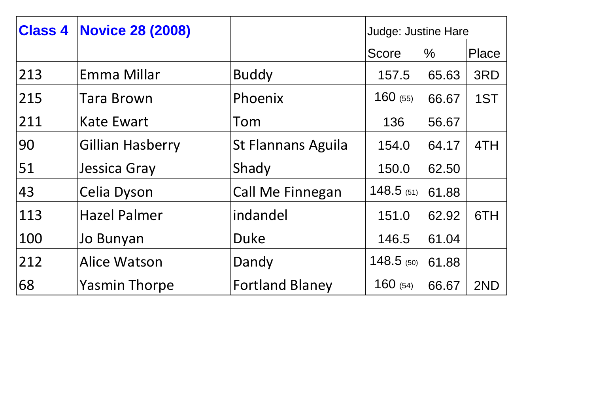| <b>Class 4</b> | <b>Novice 28 (2008)</b> |                           | <b>Judge: Justine Hare</b> |       |       |
|----------------|-------------------------|---------------------------|----------------------------|-------|-------|
|                |                         |                           | Score                      | $\%$  | Place |
| 213            | Emma Millar             | <b>Buddy</b>              | 157.5                      | 65.63 | 3RD   |
| 215            | Tara Brown              | Phoenix                   | 160(55)                    | 66.67 | 1ST   |
| 211            | <b>Kate Ewart</b>       | Tom                       | 136                        | 56.67 |       |
| 90             | <b>Gillian Hasberry</b> | <b>St Flannans Aguila</b> | 154.0                      | 64.17 | 4TH   |
| 51             | Jessica Gray            | Shady                     | 150.0                      | 62.50 |       |
| 43             | Celia Dyson             | Call Me Finnegan          | $148.5$ (51)               | 61.88 |       |
| 113            | <b>Hazel Palmer</b>     | indandel                  | 151.0                      | 62.92 | 6TH   |
| 100            | Jo Bunyan               | <b>Duke</b>               | 146.5                      | 61.04 |       |
| 212            | Alice Watson            | Dandy                     | $148.5$ (50)               | 61.88 |       |
| 68             | <b>Yasmin Thorpe</b>    | <b>Fortland Blaney</b>    | 160(54)                    | 66.67 | 2ND   |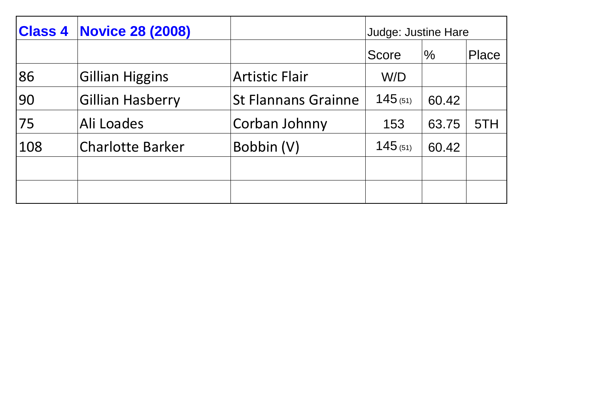| <b>Class 4</b> | <b>Novice 28 (2008)</b> |                            | Judge: Justine Hare |       |              |
|----------------|-------------------------|----------------------------|---------------------|-------|--------------|
|                |                         |                            | <b>Score</b>        | $\%$  | <b>Place</b> |
| 86             | <b>Gillian Higgins</b>  | <b>Artistic Flair</b>      | W/D                 |       |              |
| 90             | Gillian Hasberry        | <b>St Flannans Grainne</b> | 145(51)             | 60.42 |              |
| 75             | Ali Loades              | Corban Johnny              | 153                 | 63.75 | 5TH          |
| 108            | <b>Charlotte Barker</b> | Bobbin (V)                 | 145(51)             | 60.42 |              |
|                |                         |                            |                     |       |              |
|                |                         |                            |                     |       |              |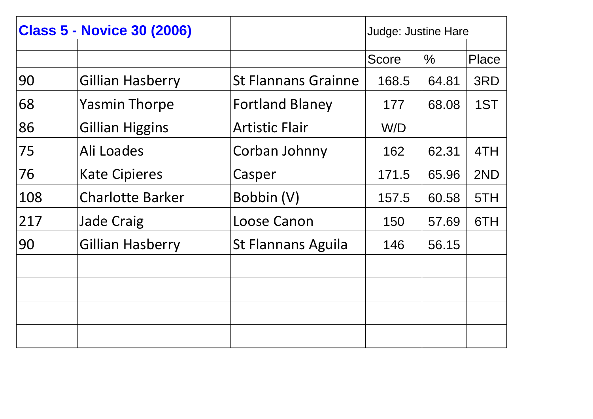| <b>Class 5 - Novice 30 (2006)</b> |                         |                            | <b>Judge: Justine Hare</b> |       |              |
|-----------------------------------|-------------------------|----------------------------|----------------------------|-------|--------------|
|                                   |                         |                            |                            |       |              |
|                                   |                         |                            | <b>Score</b>               | $\%$  | <b>Place</b> |
| 90                                | <b>Gillian Hasberry</b> | <b>St Flannans Grainne</b> | 168.5                      | 64.81 | 3RD          |
| 68                                | <b>Yasmin Thorpe</b>    | <b>Fortland Blaney</b>     | 177                        | 68.08 | 1ST          |
| 86                                | <b>Gillian Higgins</b>  | <b>Artistic Flair</b>      | W/D                        |       |              |
| 75                                | Ali Loades              | Corban Johnny              | 162                        | 62.31 | 4TH          |
| 76                                | <b>Kate Cipieres</b>    | Casper                     | 171.5                      | 65.96 | 2ND          |
| 108                               | <b>Charlotte Barker</b> | Bobbin (V)                 | 157.5                      | 60.58 | 5TH          |
| 217                               | <b>Jade Craig</b>       | Loose Canon                | 150                        | 57.69 | 6TH          |
| 90                                | Gillian Hasberry        | <b>St Flannans Aguila</b>  | 146                        | 56.15 |              |
|                                   |                         |                            |                            |       |              |
|                                   |                         |                            |                            |       |              |
|                                   |                         |                            |                            |       |              |
|                                   |                         |                            |                            |       |              |